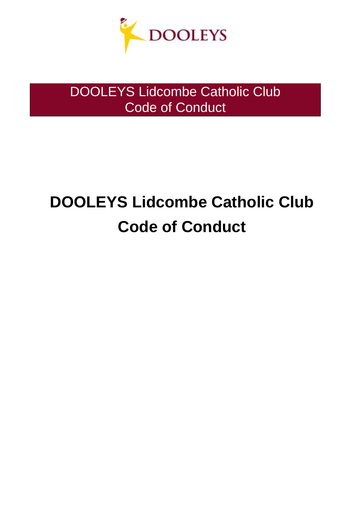

# **DOOLEYS Lidcombe Catholic Club Code of Conduct**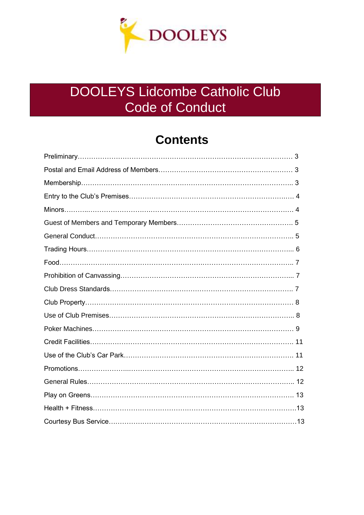

### **Contents**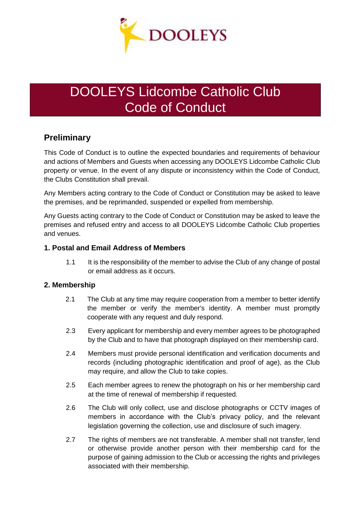

### **Preliminary**

This Code of Conduct is to outline the expected boundaries and requirements of behaviour and actions of Members and Guests when accessing any DOOLEYS Lidcombe Catholic Club property or venue. In the event of any dispute or inconsistency within the Code of Conduct, the Clubs Constitution shall prevail.

Any Members acting contrary to the Code of Conduct or Constitution may be asked to leave the premises, and be reprimanded, suspended or expelled from membership.

Any Guests acting contrary to the Code of Conduct or Constitution may be asked to leave the premises and refused entry and access to all DOOLEYS Lidcombe Catholic Club properties and venues.

### **1. Postal and Email Address of Members**

1.1 It is the responsibility of the member to advise the Club of any change of postal or email address as it occurs.

### **2. Membership**

- 2.1 The Club at any time may require cooperation from a member to better identify the member or verify the member's identity. A member must promptly cooperate with any request and duly respond.
- 2.3 Every applicant for membership and every member agrees to be photographed by the Club and to have that photograph displayed on their membership card.
- 2.4 Members must provide personal identification and verification documents and records (including photographic identification and proof of age), as the Club may require, and allow the Club to take copies.
- 2.5 Each member agrees to renew the photograph on his or her membership card at the time of renewal of membership if requested.
- 2.6 The Club will only collect, use and disclose photographs or CCTV images of members in accordance with the Club's privacy policy, and the relevant legislation governing the collection, use and disclosure of such imagery.
- 2.7 The rights of members are not transferable. A member shall not transfer, lend or otherwise provide another person with their membership card for the purpose of gaining admission to the Club or accessing the rights and privileges associated with their membership.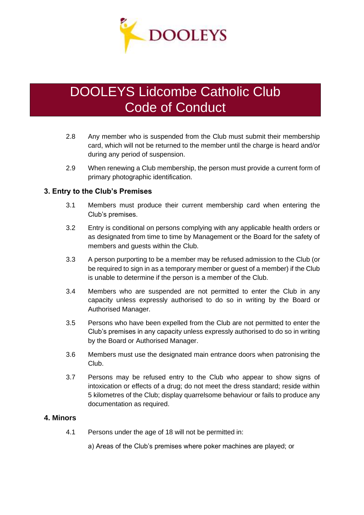

- 2.8 Any member who is suspended from the Club must submit their membership card, which will not be returned to the member until the charge is heard and/or during any period of suspension.
- 2.9 When renewing a Club membership, the person must provide a current form of primary photographic identification.

### **3. Entry to the Club's Premises**

- 3.1 Members must produce their current membership card when entering the Club's premises.
- 3.2 Entry is conditional on persons complying with any applicable health orders or as designated from time to time by Management or the Board for the safety of members and guests within the Club.
- 3.3 A person purporting to be a member may be refused admission to the Club (or be required to sign in as a temporary member or guest of a member) if the Club is unable to determine if the person is a member of the Club.
- 3.4 Members who are suspended are not permitted to enter the Club in any capacity unless expressly authorised to do so in writing by the Board or Authorised Manager.
- 3.5 Persons who have been expelled from the Club are not permitted to enter the Club's premises in any capacity unless expressly authorised to do so in writing by the Board or Authorised Manager.
- 3.6 Members must use the designated main entrance doors when patronising the Club.
- 3.7 Persons may be refused entry to the Club who appear to show signs of intoxication or effects of a drug; do not meet the dress standard; reside within 5 kilometres of the Club; display quarrelsome behaviour or fails to produce any documentation as required.

#### **4. Minors**

4.1 Persons under the age of 18 will not be permitted in:

a) Areas of the Club's premises where poker machines are played; or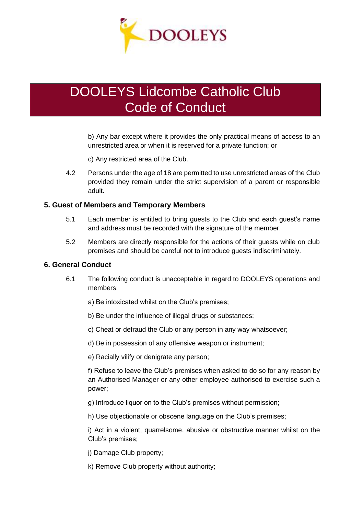

b) Any bar except where it provides the only practical means of access to an unrestricted area or when it is reserved for a private function; or

c) Any restricted area of the Club.

4.2 Persons under the age of 18 are permitted to use unrestricted areas of the Club provided they remain under the strict supervision of a parent or responsible adult.

#### **5. Guest of Members and Temporary Members**

- 5.1 Each member is entitled to bring guests to the Club and each guest's name and address must be recorded with the signature of the member.
- 5.2 Members are directly responsible for the actions of their guests while on club premises and should be careful not to introduce guests indiscriminately.

#### **6. General Conduct**

- 6.1 The following conduct is unacceptable in regard to DOOLEYS operations and members:
	- a) Be intoxicated whilst on the Club's premises;
	- b) Be under the influence of illegal drugs or substances;
	- c) Cheat or defraud the Club or any person in any way whatsoever;
	- d) Be in possession of any offensive weapon or instrument;
	- e) Racially vilify or denigrate any person;

f) Refuse to leave the Club's premises when asked to do so for any reason by an Authorised Manager or any other employee authorised to exercise such a power;

- g) Introduce liquor on to the Club's premises without permission;
- h) Use objectionable or obscene language on the Club's premises;

i) Act in a violent, quarrelsome, abusive or obstructive manner whilst on the Club's premises;

j) Damage Club property;

k) Remove Club property without authority;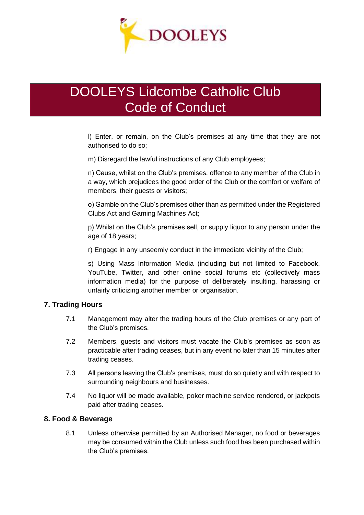

l) Enter, or remain, on the Club's premises at any time that they are not authorised to do so;

m) Disregard the lawful instructions of any Club employees;

n) Cause, whilst on the Club's premises, offence to any member of the Club in a way, which prejudices the good order of the Club or the comfort or welfare of members, their guests or visitors;

o) Gamble on the Club's premises other than as permitted under the Registered Clubs Act and Gaming Machines Act;

p) Whilst on the Club's premises sell, or supply liquor to any person under the age of 18 years;

r) Engage in any unseemly conduct in the immediate vicinity of the Club;

s) Using Mass Information Media (including but not limited to Facebook, YouTube, Twitter, and other online social forums etc (collectively mass information media) for the purpose of deliberately insulting, harassing or unfairly criticizing another member or organisation.

### **7. Trading Hours**

- 7.1 Management may alter the trading hours of the Club premises or any part of the Club's premises.
- 7.2 Members, guests and visitors must vacate the Club's premises as soon as practicable after trading ceases, but in any event no later than 15 minutes after trading ceases.
- 7.3 All persons leaving the Club's premises, must do so quietly and with respect to surrounding neighbours and businesses.
- 7.4 No liquor will be made available, poker machine service rendered, or jackpots paid after trading ceases.

### **8. Food & Beverage**

8.1 Unless otherwise permitted by an Authorised Manager, no food or beverages may be consumed within the Club unless such food has been purchased within the Club's premises.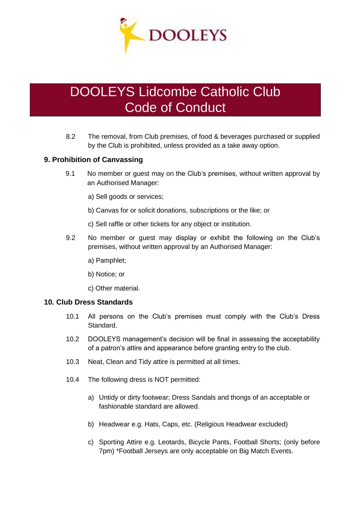

8.2 The removal, from Club premises, of food & beverages purchased or supplied by the Club is prohibited, unless provided as a take away option.

### **9. Prohibition of Canvassing**

- 9.1 No member or guest may on the Club's premises, without written approval by an Authorised Manager:
	- a) Sell goods or services;
	- b) Canvas for or solicit donations, subscriptions or the like; or
	- c) Sell raffle or other tickets for any object or institution.
- 9.2 No member or guest may display or exhibit the following on the Club's premises, without written approval by an Authorised Manager:
	- a) Pamphlet;
	- b) Notice; or
	- c) Other material.

#### **10. Club Dress Standards**

- 10.1 All persons on the Club's premises must comply with the Club's Dress Standard.
- 10.2 DOOLEYS management's decision will be final in assessing the acceptability of a patron's attire and appearance before granting entry to the club.
- 10.3 Neat, Clean and Tidy attire is permitted at all times.
- 10.4 The following dress is NOT permitted:
	- a) Untidy or dirty footwear; Dress Sandals and thongs of an acceptable or fashionable standard are allowed.
	- b) Headwear e.g. Hats, Caps, etc. (Religious Headwear excluded)
	- c) Sporting Attire e.g. Leotards, Bicycle Pants, Football Shorts; (only before 7pm) \*Football Jerseys are only acceptable on Big Match Events.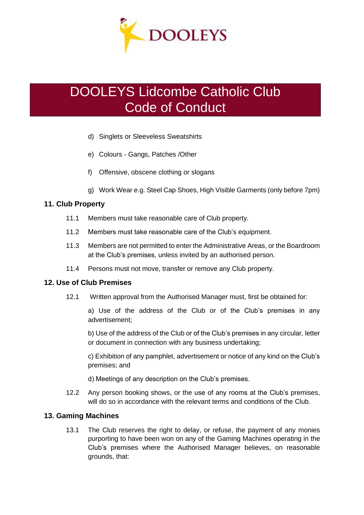

- d) Singlets or Sleeveless Sweatshirts
- e) Colours Gangs, Patches /Other
- f) Offensive, obscene clothing or slogans
- g) Work Wear e.g. Steel Cap Shoes, High Visible Garments (only before 7pm)

### **11. Club Property**

- 11.1 Members must take reasonable care of Club property.
- 11.2 Members must take reasonable care of the Club's equipment.
- 11.3 Members are not permitted to enter the Administrative Areas, or the Boardroom at the Club's premises, unless invited by an authorised person.
- 11.4 Persons must not move, transfer or remove any Club property.

### **12. Use of Club Premises**

12.1 Written approval from the Authorised Manager must, first be obtained for:

a) Use of the address of the Club or of the Club's premises in any advertisement;

b) Use of the address of the Club or of the Club's premises in any circular, letter or document in connection with any business undertaking;

c) Exhibition of any pamphlet, advertisement or notice of any kind on the Club's premises; and

d) Meetings of any description on the Club's premises.

12.2 Any person booking shows, or the use of any rooms at the Club's premises, will do so in accordance with the relevant terms and conditions of the Club.

### **13. Gaming Machines**

13.1 The Club reserves the right to delay, or refuse, the payment of any monies purporting to have been won on any of the Gaming Machines operating in the Club's premises where the Authorised Manager believes, on reasonable grounds, that: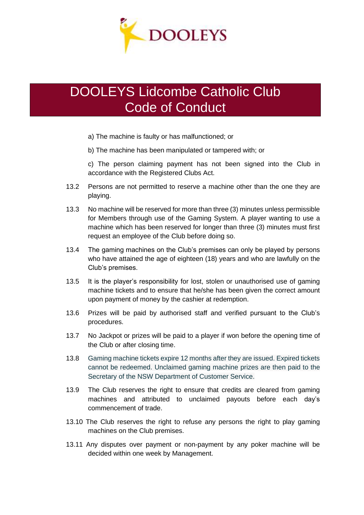

- a) The machine is faulty or has malfunctioned; or
- b) The machine has been manipulated or tampered with; or

c) The person claiming payment has not been signed into the Club in accordance with the Registered Clubs Act.

- 13.2 Persons are not permitted to reserve a machine other than the one they are playing.
- 13.3 No machine will be reserved for more than three (3) minutes unless permissible for Members through use of the Gaming System. A player wanting to use a machine which has been reserved for longer than three (3) minutes must first request an employee of the Club before doing so.
- 13.4 The gaming machines on the Club's premises can only be played by persons who have attained the age of eighteen (18) years and who are lawfully on the Club's premises.
- 13.5 It is the player's responsibility for lost, stolen or unauthorised use of gaming machine tickets and to ensure that he/she has been given the correct amount upon payment of money by the cashier at redemption.
- 13.6 Prizes will be paid by authorised staff and verified pursuant to the Club's procedures.
- 13.7 No Jackpot or prizes will be paid to a player if won before the opening time of the Club or after closing time.
- 13.8 Gaming machine tickets expire 12 months after they are issued. Expired tickets cannot be redeemed. Unclaimed gaming machine prizes are then paid to the Secretary of the NSW Department of Customer Service.
- 13.9 The Club reserves the right to ensure that credits are cleared from gaming machines and attributed to unclaimed payouts before each day's commencement of trade.
- 13.10 The Club reserves the right to refuse any persons the right to play gaming machines on the Club premises.
- 13.11 Any disputes over payment or non-payment by any poker machine will be decided within one week by Management.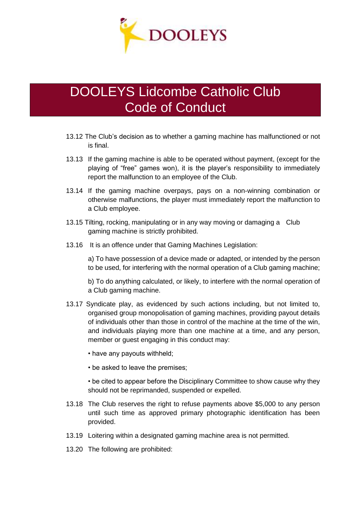

- 13.12 The Club's decision as to whether a gaming machine has malfunctioned or not is final.
- 13.13 If the gaming machine is able to be operated without payment, (except for the playing of "free" games won), it is the player's responsibility to immediately report the malfunction to an employee of the Club.
- 13.14 If the gaming machine overpays, pays on a non-winning combination or otherwise malfunctions, the player must immediately report the malfunction to a Club employee.
- 13.15 Tilting, rocking, manipulating or in any way moving or damaging a Club gaming machine is strictly prohibited.
- 13.16 It is an offence under that Gaming Machines Legislation:

a) To have possession of a device made or adapted, or intended by the person to be used, for interfering with the normal operation of a Club gaming machine;

b) To do anything calculated, or likely, to interfere with the normal operation of a Club gaming machine.

- 13.17 Syndicate play, as evidenced by such actions including, but not limited to, organised group monopolisation of gaming machines, providing payout details of individuals other than those in control of the machine at the time of the win, and individuals playing more than one machine at a time, and any person, member or guest engaging in this conduct may:
	- have any payouts withheld;
	- be asked to leave the premises;
	- be cited to appear before the Disciplinary Committee to show cause why they should not be reprimanded, suspended or expelled.
- 13.18 The Club reserves the right to refuse payments above \$5,000 to any person until such time as approved primary photographic identification has been provided.
- 13.19 Loitering within a designated gaming machine area is not permitted.
- 13.20 The following are prohibited: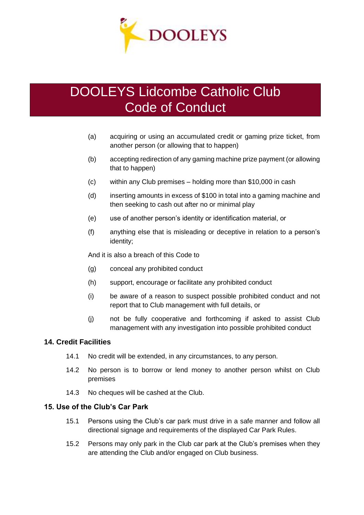

- (a) acquiring or using an accumulated credit or gaming prize ticket, from another person (or allowing that to happen)
- (b) accepting redirection of any gaming machine prize payment (or allowing that to happen)
- (c) within any Club premises holding more than \$10,000 in cash
- (d) inserting amounts in excess of \$100 in total into a gaming machine and then seeking to cash out after no or minimal play
- (e) use of another person's identity or identification material, or
- (f) anything else that is misleading or deceptive in relation to a person's identity;

And it is also a breach of this Code to

- (g) conceal any prohibited conduct
- (h) support, encourage or facilitate any prohibited conduct
- (i) be aware of a reason to suspect possible prohibited conduct and not report that to Club management with full details, or
- (j) not be fully cooperative and forthcoming if asked to assist Club management with any investigation into possible prohibited conduct

### **14. Credit Facilities**

- 14.1 No credit will be extended, in any circumstances, to any person.
- 14.2 No person is to borrow or lend money to another person whilst on Club premises
- 14.3 No cheques will be cashed at the Club.

### **15. Use of the Club's Car Park**

- 15.1 Persons using the Club's car park must drive in a safe manner and follow all directional signage and requirements of the displayed Car Park Rules.
- 15.2 Persons may only park in the Club car park at the Club's premises when they are attending the Club and/or engaged on Club business.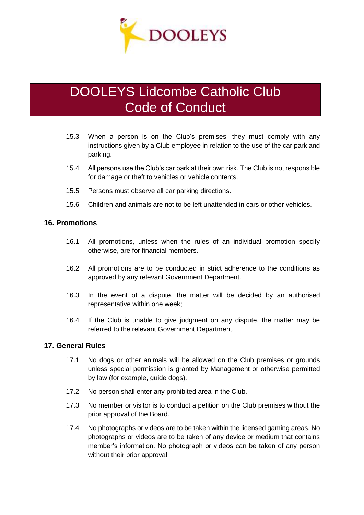

- 15.3 When a person is on the Club's premises, they must comply with any instructions given by a Club employee in relation to the use of the car park and parking.
- 15.4 All persons use the Club's car park at their own risk. The Club is not responsible for damage or theft to vehicles or vehicle contents.
- 15.5 Persons must observe all car parking directions.
- 15.6 Children and animals are not to be left unattended in cars or other vehicles.

#### **16. Promotions**

- 16.1 All promotions, unless when the rules of an individual promotion specify otherwise, are for financial members.
- 16.2 All promotions are to be conducted in strict adherence to the conditions as approved by any relevant Government Department.
- 16.3 In the event of a dispute, the matter will be decided by an authorised representative within one week;
- 16.4 If the Club is unable to give judgment on any dispute, the matter may be referred to the relevant Government Department.

#### **17. General Rules**

- 17.1 No dogs or other animals will be allowed on the Club premises or grounds unless special permission is granted by Management or otherwise permitted by law (for example, guide dogs).
- 17.2 No person shall enter any prohibited area in the Club.
- 17.3 No member or visitor is to conduct a petition on the Club premises without the prior approval of the Board.
- 17.4 No photographs or videos are to be taken within the licensed gaming areas. No photographs or videos are to be taken of any device or medium that contains member's information. No photograph or videos can be taken of any person without their prior approval.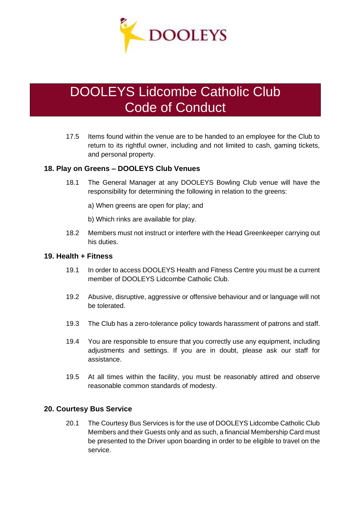

17.5 Items found within the venue are to be handed to an employee for the Club to return to its rightful owner, including and not limited to cash, gaming tickets, and personal property.

#### **18. Play on Greens – DOOLEYS Club Venues**

- 18.1 The General Manager at any DOOLEYS Bowling Club venue will have the responsibility for determining the following in relation to the greens:
	- a) When greens are open for play; and
	- b) Which rinks are available for play.
- 18.2 Members must not instruct or interfere with the Head Greenkeeper carrying out his duties.

#### **19. Health + Fitness**

- 19.1 In order to access DOOLEYS Health and Fitness Centre you must be a current member of DOOLEYS Lidcombe Catholic Club.
- 19.2 Abusive, disruptive, aggressive or offensive behaviour and or language will not be tolerated.
- 19.3 The Club has a zero-tolerance policy towards harassment of patrons and staff.
- 19.4 You are responsible to ensure that you correctly use any equipment, including adjustments and settings. If you are in doubt, please ask our staff for assistance.
- 19.5 At all times within the facility, you must be reasonably attired and observe reasonable common standards of modesty.

#### **20. Courtesy Bus Service**

20.1 The Courtesy Bus Services is for the use of DOOLEYS Lidcombe Catholic Club Members and their Guests only and as such, a financial Membership Card must be presented to the Driver upon boarding in order to be eligible to travel on the service.